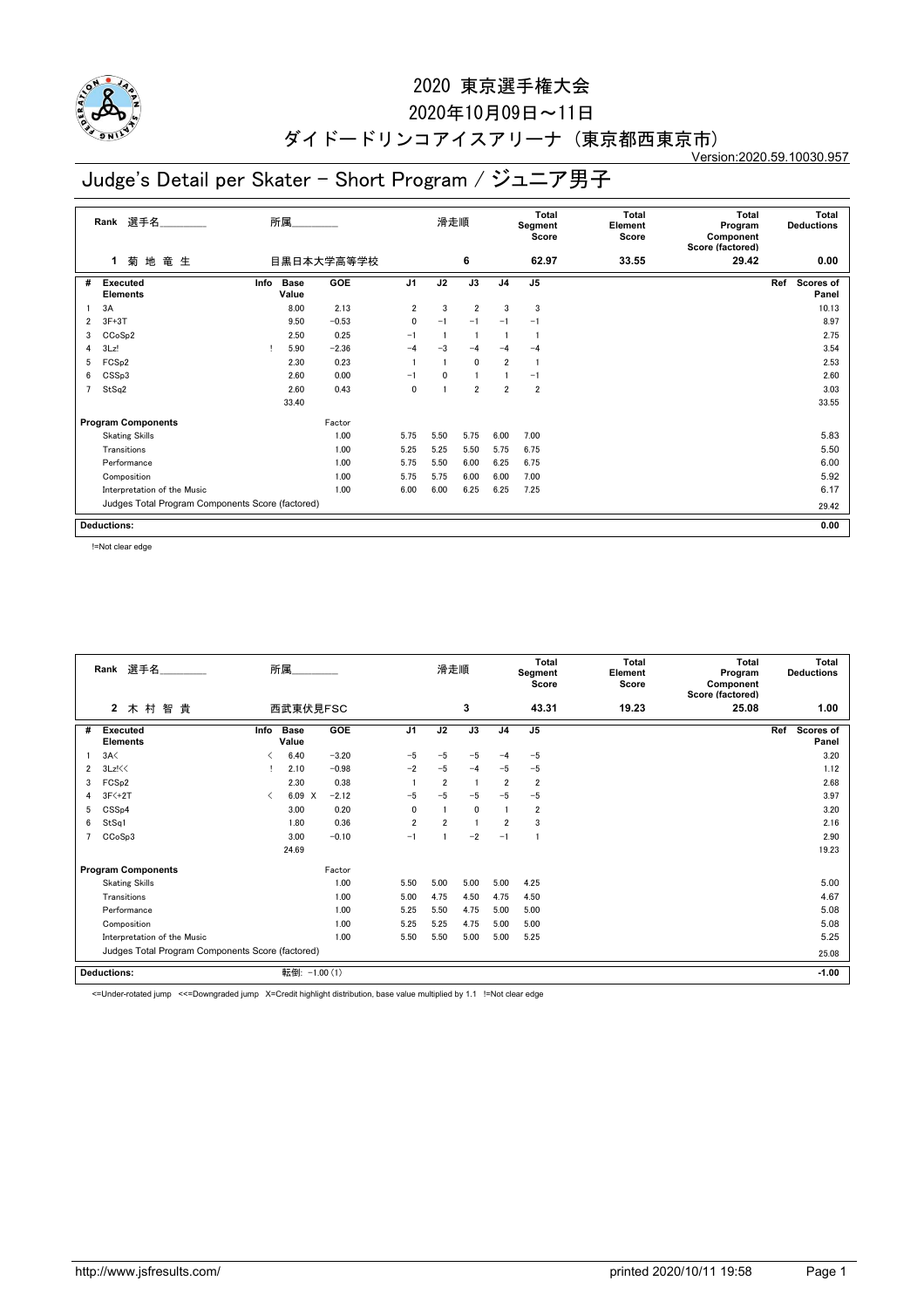

## 2020年10月09日~11日

#### ダイドードリンコアイスアリーナ (東京都西東京市) Version:2020.59.10030.957

# Judge's Detail per Skater - Short Program / ジュニア男子

|                | 選手名<br>Rank                                      | 所属                           |            |                         | 滑走順  |                |                | Total<br>Segment<br>Score | <b>Total</b><br>Element<br>Score | Total<br>Program<br>Component<br>Score (factored) | <b>Total</b><br><b>Deductions</b> |
|----------------|--------------------------------------------------|------------------------------|------------|-------------------------|------|----------------|----------------|---------------------------|----------------------------------|---------------------------------------------------|-----------------------------------|
|                | 菊地竜生<br>1                                        |                              | 目黒日本大学高等学校 |                         |      | 6              |                | 62.97                     | 33.55                            | 29.42                                             | 0.00                              |
| #              | Executed<br><b>Elements</b>                      | <b>Base</b><br>Info<br>Value | GOE        | J <sub>1</sub>          | J2   | J3             | J <sub>4</sub> | J <sub>5</sub>            |                                  |                                                   | Ref<br>Scores of<br>Panel         |
|                | 3A                                               | 8.00                         | 2.13       | $\overline{\mathbf{2}}$ | 3    | $\overline{2}$ | 3              | 3                         |                                  |                                                   | 10.13                             |
| 2              | $3F+3T$                                          | 9.50                         | $-0.53$    | $\mathbf{0}$            | $-1$ | $-1$           | $-1$           | $-1$                      |                                  |                                                   | 8.97                              |
| 3              | CCoSp2                                           | 2.50                         | 0.25       | $-1$                    |      |                |                |                           |                                  |                                                   | 2.75                              |
| 4              | 3Lz!                                             | 5.90                         | $-2.36$    | $-4$                    | $-3$ | $-4$           | $-4$           | $-4$                      |                                  |                                                   | 3.54                              |
| 5              | FCS <sub>p2</sub>                                | 2.30                         | 0.23       |                         |      | $\mathbf 0$    | $\overline{2}$ |                           |                                  |                                                   | 2.53                              |
| 6              | CSSp3                                            | 2.60                         | 0.00       | $-1$                    | 0    |                |                | $-1$                      |                                  |                                                   | 2.60                              |
| $\overline{7}$ | StSq2                                            | 2.60                         | 0.43       | $\mathbf{0}$            |      | $\overline{2}$ | $\overline{2}$ | $\overline{2}$            |                                  |                                                   | 3.03                              |
|                |                                                  | 33.40                        |            |                         |      |                |                |                           |                                  |                                                   | 33.55                             |
|                | <b>Program Components</b>                        |                              | Factor     |                         |      |                |                |                           |                                  |                                                   |                                   |
|                | <b>Skating Skills</b>                            |                              | 1.00       | 5.75                    | 5.50 | 5.75           | 6.00           | 7.00                      |                                  |                                                   | 5.83                              |
|                | Transitions                                      |                              | 1.00       | 5.25                    | 5.25 | 5.50           | 5.75           | 6.75                      |                                  |                                                   | 5.50                              |
|                | Performance                                      |                              | 1.00       | 5.75                    | 5.50 | 6.00           | 6.25           | 6.75                      |                                  |                                                   | 6.00                              |
|                | Composition                                      |                              | 1.00       | 5.75                    | 5.75 | 6.00           | 6.00           | 7.00                      |                                  |                                                   | 5.92                              |
|                | Interpretation of the Music                      | 1.00                         | 6.00       | 6.00                    | 6.25 | 6.25           | 7.25           |                           |                                  | 6.17                                              |                                   |
|                | Judges Total Program Components Score (factored) |                              |            |                         |      |                |                |                           |                                  |                                                   | 29.42                             |
|                | <b>Deductions:</b>                               |                              |            |                         |      |                |                |                           |                                  |                                                   | 0.00                              |

!=Not clear edge

|   | 選手名<br>Rank                                      |                               | 所属               |         |                | 滑走順            |      |                | <b>Total</b><br>Segment<br>Score | <b>Total</b><br>Element<br>Score | Total<br>Program<br>Component<br>Score (factored) | <b>Total</b><br><b>Deductions</b> |
|---|--------------------------------------------------|-------------------------------|------------------|---------|----------------|----------------|------|----------------|----------------------------------|----------------------------------|---------------------------------------------------|-----------------------------------|
|   | $\mathbf{2}$<br>木村<br>智<br>貴                     |                               | 西武東伏見FSC         |         |                |                | 3    |                | 43.31                            | 19.23                            | 25.08                                             | 1.00                              |
| # | <b>Executed</b><br><b>Elements</b>               | Info                          | Base<br>Value    | GOE     | J <sub>1</sub> | J2             | J3   | J <sub>4</sub> | J <sub>5</sub>                   |                                  |                                                   | Scores of<br>Ref<br>Panel         |
|   | 3A<                                              |                               | 6.40             | $-3.20$ | $-5$           | $-5$           | $-5$ | -4             | $-5$                             |                                  |                                                   | 3.20                              |
| 2 | 3Lz!<<                                           |                               | 2.10             | $-0.98$ | $-2$           | $-5$           | $-4$ | $-5$           | $-5$                             |                                  |                                                   | 1.12                              |
| 3 | FCS <sub>p2</sub>                                |                               | 2.30             | 0.38    |                | $\overline{2}$ | -1   | $\overline{2}$ | $\overline{2}$                   |                                  |                                                   | 2.68                              |
| 4 | $3F<+2T$                                         | $\overline{\left( \right. }%$ | 6.09<br>$\times$ | $-2.12$ | $-5$           | $-5$           | $-5$ | $-5$           | $-5$                             |                                  |                                                   | 3.97                              |
| 5 | CSS <sub>p4</sub>                                |                               | 3.00             | 0.20    | 0              |                | 0    |                | $\overline{2}$                   |                                  |                                                   | 3.20                              |
| 6 | StSq1                                            |                               | 1.80             | 0.36    | $\overline{2}$ | $\overline{2}$ | -1   | $\overline{2}$ | 3                                |                                  |                                                   | 2.16                              |
|   | CCoSp3                                           |                               | 3.00             | $-0.10$ | $-1$           |                | $-2$ | $-1$           |                                  |                                  |                                                   | 2.90                              |
|   |                                                  |                               | 24.69            |         |                |                |      |                |                                  |                                  |                                                   | 19.23                             |
|   | <b>Program Components</b>                        |                               |                  | Factor  |                |                |      |                |                                  |                                  |                                                   |                                   |
|   | <b>Skating Skills</b>                            |                               |                  | 1.00    | 5.50           | 5.00           | 5.00 | 5.00           | 4.25                             |                                  |                                                   | 5.00                              |
|   | Transitions                                      |                               |                  | 1.00    | 5.00           | 4.75           | 4.50 | 4.75           | 4.50                             |                                  |                                                   | 4.67                              |
|   | Performance                                      |                               |                  | 1.00    | 5.25           | 5.50           | 4.75 | 5.00           | 5.00                             |                                  |                                                   | 5.08                              |
|   | Composition                                      |                               |                  | 1.00    | 5.25           | 5.25           | 4.75 | 5.00           | 5.00                             |                                  |                                                   | 5.08                              |
|   | Interpretation of the Music                      |                               |                  | 1.00    | 5.50           | 5.50           | 5.00 | 5.00           | 5.25                             |                                  |                                                   | 5.25                              |
|   | Judges Total Program Components Score (factored) |                               |                  |         |                |                |      |                |                                  |                                  |                                                   | 25.08                             |
|   | <b>Deductions:</b>                               |                               | 転倒: -1.00 (1)    |         |                |                |      |                |                                  |                                  |                                                   | $-1.00$                           |

<=Under-rotated jump <<=Downgraded jump X=Credit highlight distribution, base value multiplied by 1.1 !=Not clear edge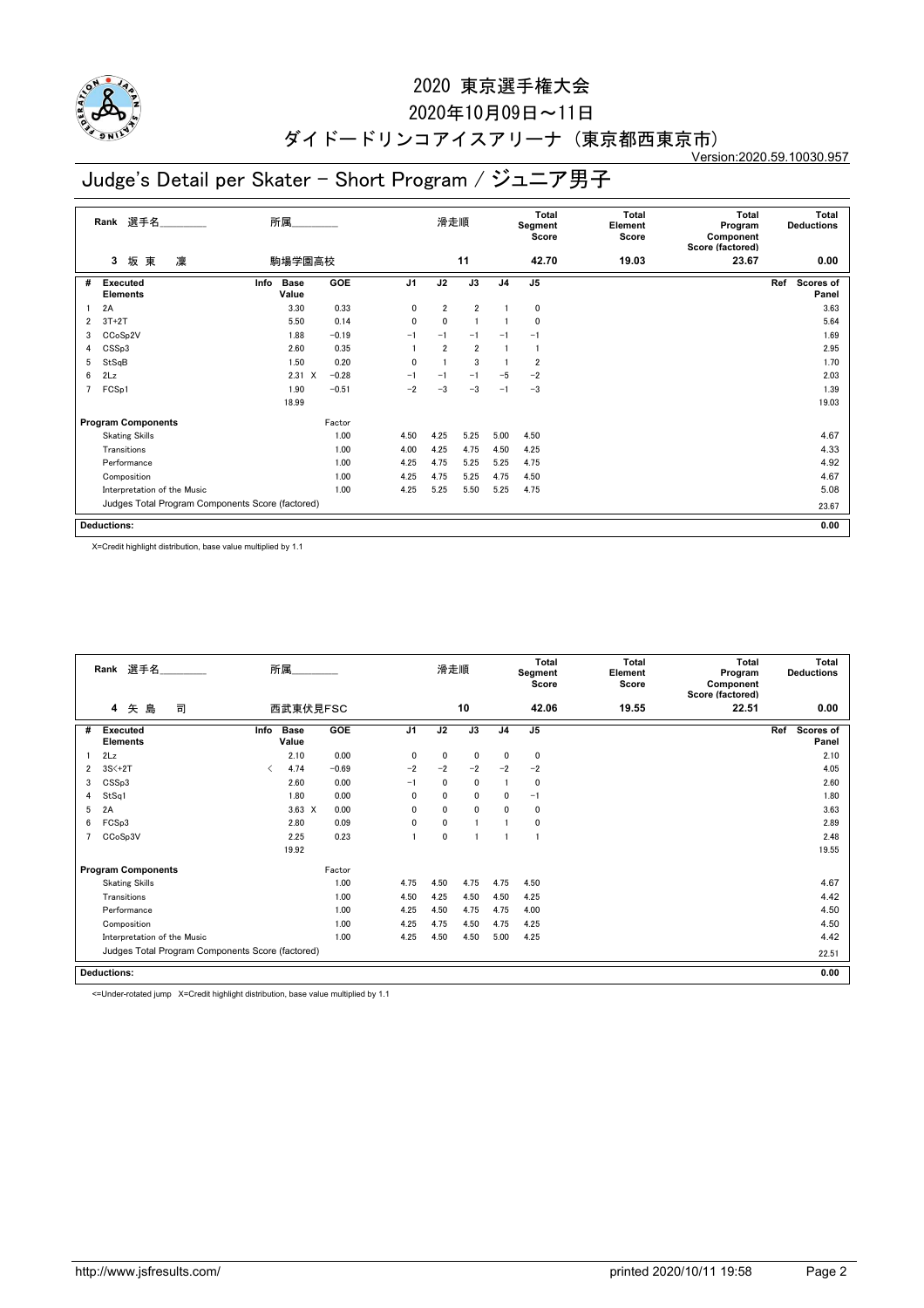

## 2020年10月09日~11日

#### ダイドードリンコアイスアリーナ (東京都西東京市) Version:2020.59.10030.957

# Judge's Detail per Skater - Short Program / ジュニア男子

|   | 選手名<br>Rank                                      | 所属                           |         |                | 滑走順            |                |                | <b>Total</b><br>Segment<br>Score | <b>Total</b><br>Element<br>Score | <b>Total</b><br>Program<br>Component<br>Score (factored) | <b>Total</b><br><b>Deductions</b> |  |
|---|--------------------------------------------------|------------------------------|---------|----------------|----------------|----------------|----------------|----------------------------------|----------------------------------|----------------------------------------------------------|-----------------------------------|--|
|   | 凜<br>坂東<br>3                                     | 駒場学園高校                       |         |                |                | 11             |                | 42.70                            | 19.03                            | 23.67                                                    | 0.00                              |  |
| # | Executed<br><b>Elements</b>                      | Info<br><b>Base</b><br>Value | GOE     | J <sub>1</sub> | J2             | J3             | J <sub>4</sub> | J <sub>5</sub>                   |                                  |                                                          | Ref<br><b>Scores of</b><br>Panel  |  |
|   | 2A                                               | 3.30                         | 0.33    | 0              | $\overline{2}$ | $\overline{2}$ | 1              | 0                                |                                  |                                                          | 3.63                              |  |
| 2 | $3T+2T$                                          | 5.50                         | 0.14    | 0              | 0              | -1             |                | 0                                |                                  |                                                          | 5.64                              |  |
| 3 | CCoSp2V                                          | 1.88                         | $-0.19$ | $-1$           | $-1$           | $-1$           | $-1$           | $-1$                             |                                  |                                                          | 1.69                              |  |
| 4 | CSSp3                                            | 2.60                         | 0.35    |                | $\overline{2}$ | $\overline{2}$ | 1              |                                  |                                  |                                                          | 2.95                              |  |
| 5 | StSqB                                            | 1.50                         | 0.20    | $\mathbf{0}$   |                | 3              |                | $\overline{\mathbf{2}}$          |                                  |                                                          | 1.70                              |  |
| 6 | 2Lz                                              | $2.31 \t X$                  | $-0.28$ | $-1$           | $-1$           | $-1$           | $-5$           | $-2$                             |                                  |                                                          | 2.03                              |  |
| 7 | FCS <sub>p1</sub>                                | 1.90                         | $-0.51$ | $-2$           | $-3$           | $-3$           | $-1$           | $-3$                             |                                  |                                                          | 1.39                              |  |
|   |                                                  | 18.99                        |         |                |                |                |                |                                  |                                  |                                                          | 19.03                             |  |
|   | <b>Program Components</b>                        |                              | Factor  |                |                |                |                |                                  |                                  |                                                          |                                   |  |
|   | <b>Skating Skills</b>                            |                              | 1.00    | 4.50           | 4.25           | 5.25           | 5.00           | 4.50                             |                                  |                                                          | 4.67                              |  |
|   | Transitions                                      |                              | 1.00    | 4.00           | 4.25           | 4.75           | 4.50           | 4.25                             |                                  |                                                          | 4.33                              |  |
|   | Performance                                      |                              | 1.00    | 4.25           | 4.75           | 5.25           | 5.25           | 4.75                             |                                  |                                                          | 4.92                              |  |
|   | Composition                                      |                              | 1.00    | 4.25           | 4.75           | 5.25           | 4.75           | 4.50                             |                                  |                                                          | 4.67                              |  |
|   | Interpretation of the Music                      | 4.25                         | 5.25    | 5.50           | 5.25           | 4.75           |                |                                  | 5.08                             |                                                          |                                   |  |
|   | Judges Total Program Components Score (factored) |                              |         |                |                |                |                |                                  |                                  |                                                          | 23.67                             |  |
|   | <b>Deductions:</b>                               |                              |         |                |                |                |                |                                  |                                  |                                                          | 0.00                              |  |

X=Credit highlight distribution, base value multiplied by 1.1

|                | Rank 選手名                                         |           | 所属                   |            |                | 滑走順          |             |                | <b>Total</b><br>Segment<br>Score | <b>Total</b><br>Element<br>Score | <b>Total</b><br>Program<br>Component<br>Score (factored) | Total<br><b>Deductions</b>       |  |
|----------------|--------------------------------------------------|-----------|----------------------|------------|----------------|--------------|-------------|----------------|----------------------------------|----------------------------------|----------------------------------------------------------|----------------------------------|--|
|                | 司<br>矢<br>島<br>4                                 |           | 西武東伏見FSC             |            |                |              | 10          |                | 42.06                            | 19.55                            | 22.51                                                    | 0.00                             |  |
| #              | <b>Executed</b><br><b>Elements</b>               | Info      | <b>Base</b><br>Value | <b>GOE</b> | J <sub>1</sub> | J2           | J3          | J <sub>4</sub> | $\mathsf{J}5$                    |                                  |                                                          | Ref<br><b>Scores of</b><br>Panel |  |
|                | 2Lz                                              |           | 2.10                 | 0.00       | $\mathbf{0}$   | 0            | $\mathbf 0$ | $\mathbf{0}$   | 0                                |                                  |                                                          | 2.10                             |  |
| 2              | $3S<+2T$                                         | $\langle$ | 4.74                 | $-0.69$    | $-2$           | $-2$         | $-2$        | $-2$           | $-2$                             |                                  |                                                          | 4.05                             |  |
| 3              | CSSp3                                            |           | 2.60                 | 0.00       | $-1$           | 0            | 0           |                | 0                                |                                  |                                                          | 2.60                             |  |
| 4              | StSq1                                            |           | 1.80                 | 0.00       | 0              | $\mathbf{0}$ | 0           | $\mathbf{0}$   | $-1$                             |                                  |                                                          | 1.80                             |  |
| 5              | 2A                                               |           | $3.63 \times$        | 0.00       | 0              | 0            | 0           | $\mathbf{0}$   | 0                                |                                  |                                                          | 3.63                             |  |
| 6              | FCSp3                                            |           | 2.80                 | 0.09       | 0              | 0            |             |                | 0                                |                                  |                                                          | 2.89                             |  |
| $\overline{ }$ | CCoSp3V                                          |           | 2.25                 | 0.23       | 1              | 0            |             |                |                                  |                                  |                                                          | 2.48                             |  |
|                |                                                  |           | 19.92                |            |                |              |             |                |                                  |                                  |                                                          | 19.55                            |  |
|                | <b>Program Components</b>                        |           |                      | Factor     |                |              |             |                |                                  |                                  |                                                          |                                  |  |
|                | <b>Skating Skills</b>                            |           |                      | 1.00       | 4.75           | 4.50         | 4.75        | 4.75           | 4.50                             |                                  |                                                          | 4.67                             |  |
|                | Transitions                                      |           |                      | 1.00       | 4.50           | 4.25         | 4.50        | 4.50           | 4.25                             |                                  |                                                          | 4.42                             |  |
|                | Performance                                      |           |                      | 1.00       | 4.25           | 4.50         | 4.75        | 4.75           | 4.00                             |                                  |                                                          | 4.50                             |  |
|                | Composition                                      |           |                      | 1.00       | 4.25           | 4.75         | 4.50        | 4.75           | 4.25                             |                                  |                                                          | 4.50                             |  |
|                | Interpretation of the Music<br>1.00              |           |                      |            | 4.25           | 4.50         | 4.50        | 5.00           | 4.25                             |                                  |                                                          | 4.42                             |  |
|                | Judges Total Program Components Score (factored) |           |                      |            |                |              |             |                | 22.51                            |                                  |                                                          |                                  |  |
|                | <b>Deductions:</b>                               |           |                      |            |                |              |             |                |                                  |                                  |                                                          |                                  |  |

<=Under-rotated jump X=Credit highlight distribution, base value multiplied by 1.1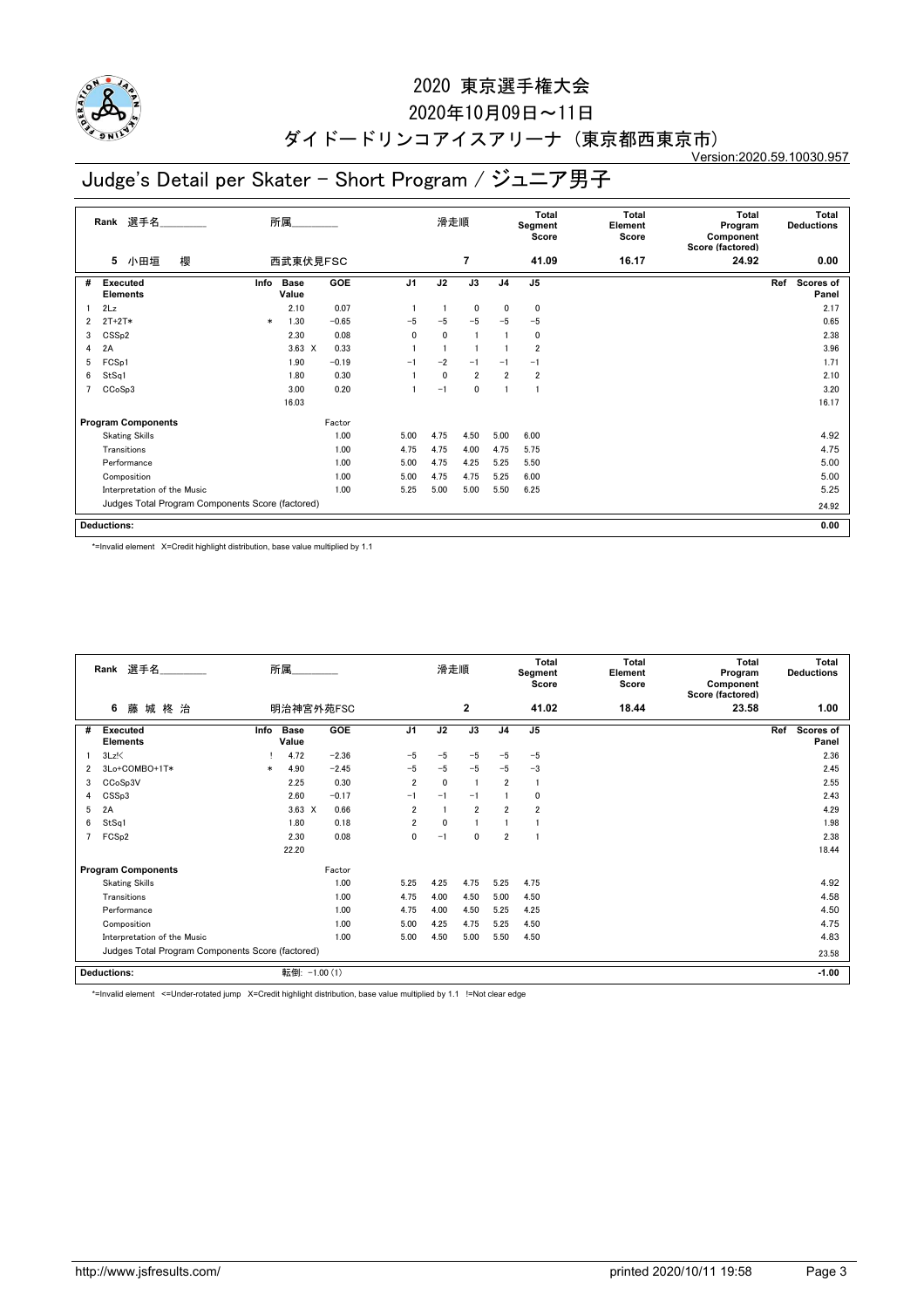

## 2020年10月09日~11日

#### ダイドードリンコアイスアリーナ (東京都西東京市) Version:2020.59.10030.957

# Judge's Detail per Skater - Short Program / ジュニア男子

|   | 選手名<br>Rank                                      |        | 所属                   |         |                | 滑走順          |                |                | <b>Total</b><br>Segment<br>Score | <b>Total</b><br>Element<br>Score | <b>Total</b><br>Program<br>Component<br>Score (factored) | <b>Total</b><br><b>Deductions</b> |
|---|--------------------------------------------------|--------|----------------------|---------|----------------|--------------|----------------|----------------|----------------------------------|----------------------------------|----------------------------------------------------------|-----------------------------------|
|   | 櫻<br>小田垣<br>5                                    |        | 西武東伏見FSC             |         |                |              | $\overline{7}$ |                | 41.09                            | 16.17                            | 24.92                                                    | 0.00                              |
| # | Executed<br><b>Elements</b>                      | Info   | <b>Base</b><br>Value | GOE     | J <sub>1</sub> | J2           | J3             | J <sub>4</sub> | J <sub>5</sub>                   |                                  |                                                          | Ref<br>Scores of<br>Panel         |
|   | 2Lz                                              |        | 2.10                 | 0.07    | $\overline{1}$ |              | $\mathbf 0$    | 0              | 0                                |                                  |                                                          | 2.17                              |
| 2 | $2T+2T*$                                         | $\ast$ | 1.30                 | $-0.65$ | $-5$           | $-5$         | $-5$           | $-5$           | $-5$                             |                                  |                                                          | 0.65                              |
| 3 | CSS <sub>p2</sub>                                |        | 2.30                 | 0.08    | $\mathbf 0$    | $\mathbf{0}$ | -1             |                | 0                                |                                  |                                                          | 2.38                              |
| 4 | 2A                                               |        | $3.63 \times$        | 0.33    |                |              |                |                | $\overline{\mathbf{2}}$          |                                  |                                                          | 3.96                              |
| 5 | FCS <sub>p1</sub>                                |        | 1.90                 | $-0.19$ | $-1$           | $-2$         | $-1$           | $-1$           | $-1$                             |                                  |                                                          | 1.71                              |
| 6 | StSq1                                            |        | 1.80                 | 0.30    |                | 0            | $\overline{2}$ | $\overline{2}$ | $\overline{2}$                   |                                  |                                                          | 2.10                              |
| 7 | CC <sub>o</sub> S <sub>p</sub> 3                 |        | 3.00                 | 0.20    |                | $-1$         | 0              | $\mathbf{1}$   |                                  |                                  |                                                          | 3.20                              |
|   |                                                  |        | 16.03                |         |                |              |                |                |                                  |                                  |                                                          | 16.17                             |
|   | <b>Program Components</b>                        |        |                      | Factor  |                |              |                |                |                                  |                                  |                                                          |                                   |
|   | <b>Skating Skills</b>                            |        |                      | 1.00    | 5.00           | 4.75         | 4.50           | 5.00           | 6.00                             |                                  |                                                          | 4.92                              |
|   | Transitions                                      |        |                      | 1.00    | 4.75           | 4.75         | 4.00           | 4.75           | 5.75                             |                                  |                                                          | 4.75                              |
|   | Performance                                      |        |                      | 1.00    | 5.00           | 4.75         | 4.25           | 5.25           | 5.50                             |                                  |                                                          | 5.00                              |
|   | Composition                                      |        |                      | 1.00    | 5.00           | 4.75         | 4.75           | 5.25           | 6.00                             |                                  |                                                          | 5.00                              |
|   | Interpretation of the Music                      | 1.00   | 5.25                 | 5.00    | 5.00           | 5.50         | 6.25           |                |                                  | 5.25                             |                                                          |                                   |
|   | Judges Total Program Components Score (factored) |        |                      |         |                |              |                |                |                                  | 24.92                            |                                                          |                                   |
|   | <b>Deductions:</b>                               |        |                      |         |                |              |                |                |                                  |                                  |                                                          | 0.00                              |

\*=Invalid element X=Credit highlight distribution, base value multiplied by 1.1

| 選手名<br>Rank<br>藤城柊治<br>6 |                                                  |        | 所属                   |         | 滑走順            |              |                | <b>Total</b><br>Segment<br>Score | <b>Total</b><br>Element<br>Score | <b>Total</b><br>Program<br>Component<br>Score (factored) | Total<br><b>Deductions</b> |                                  |
|--------------------------|--------------------------------------------------|--------|----------------------|---------|----------------|--------------|----------------|----------------------------------|----------------------------------|----------------------------------------------------------|----------------------------|----------------------------------|
|                          |                                                  |        | 明治神宮外苑FSC            |         |                |              | $\mathbf{2}$   |                                  | 41.02                            | 18.44                                                    | 23.58                      | 1.00                             |
| #                        | Executed<br><b>Elements</b>                      | Info   | <b>Base</b><br>Value | GOE     | J <sub>1</sub> | J2           | J3             | J <sub>4</sub>                   | J <sub>5</sub>                   |                                                          |                            | Ref<br><b>Scores of</b><br>Panel |
|                          | $3Lz$ !                                          |        | 4.72                 | $-2.36$ | $-5$           | $-5$         | $-5$           | $-5$                             | $-5$                             |                                                          |                            | 2.36                             |
| 2                        | 3Lo+COMBO+1T*                                    | $\ast$ | 4.90                 | $-2.45$ | $-5$           | $-5$         | $-5$           | $-5$                             | $-3$                             |                                                          |                            | 2.45                             |
| 3                        | CCoSp3V                                          |        | 2.25                 | 0.30    | $\overline{2}$ | $\mathbf{0}$ | $\overline{1}$ | $\overline{2}$                   |                                  |                                                          |                            | 2.55                             |
| 4                        | CSSp3                                            |        | 2.60                 | $-0.17$ | $-1$           | $-1$         | $-1$           |                                  | 0                                |                                                          |                            | 2.43                             |
| 5                        | 2A                                               |        | $3.63 \times$        | 0.66    | $\overline{2}$ |              | $\overline{2}$ | $\overline{2}$                   | $\overline{2}$                   |                                                          |                            | 4.29                             |
| 6                        | StSq1                                            |        | 1.80                 | 0.18    | $\overline{2}$ | $\mathbf{0}$ |                |                                  |                                  |                                                          |                            | 1.98                             |
| 7                        | FCS <sub>p2</sub>                                |        | 2.30                 | 0.08    | $\mathbf{0}$   | $-1$         | 0              | $\overline{2}$                   |                                  |                                                          |                            | 2.38                             |
|                          |                                                  |        | 22.20                |         |                |              |                |                                  |                                  |                                                          |                            | 18.44                            |
|                          | <b>Program Components</b>                        |        |                      | Factor  |                |              |                |                                  |                                  |                                                          |                            |                                  |
|                          | <b>Skating Skills</b>                            |        |                      | 1.00    | 5.25           | 4.25         | 4.75           | 5.25                             | 4.75                             |                                                          |                            | 4.92                             |
|                          | Transitions                                      |        |                      | 1.00    | 4.75           | 4.00         | 4.50           | 5.00                             | 4.50                             |                                                          |                            | 4.58                             |
|                          | Performance                                      |        |                      | 1.00    | 4.75           | 4.00         | 4.50           | 5.25                             | 4.25                             |                                                          |                            | 4.50                             |
|                          | Composition                                      |        |                      | 1.00    | 5.00           | 4.25         | 4.75           | 5.25                             | 4.50                             |                                                          |                            | 4.75                             |
|                          | Interpretation of the Music                      |        |                      | 1.00    | 5.00           | 4.50         | 5.00           | 5.50                             | 4.50                             |                                                          |                            | 4.83                             |
|                          | Judges Total Program Components Score (factored) |        |                      |         |                |              |                |                                  |                                  |                                                          | 23.58                      |                                  |
|                          | <b>Deductions:</b>                               |        | 転倒: -1.00 (1)        |         |                |              |                |                                  |                                  |                                                          |                            | $-1.00$                          |

\*=Invalid element <=Under-rotated jump X=Credit highlight distribution, base value multiplied by 1.1 !=Not clear edge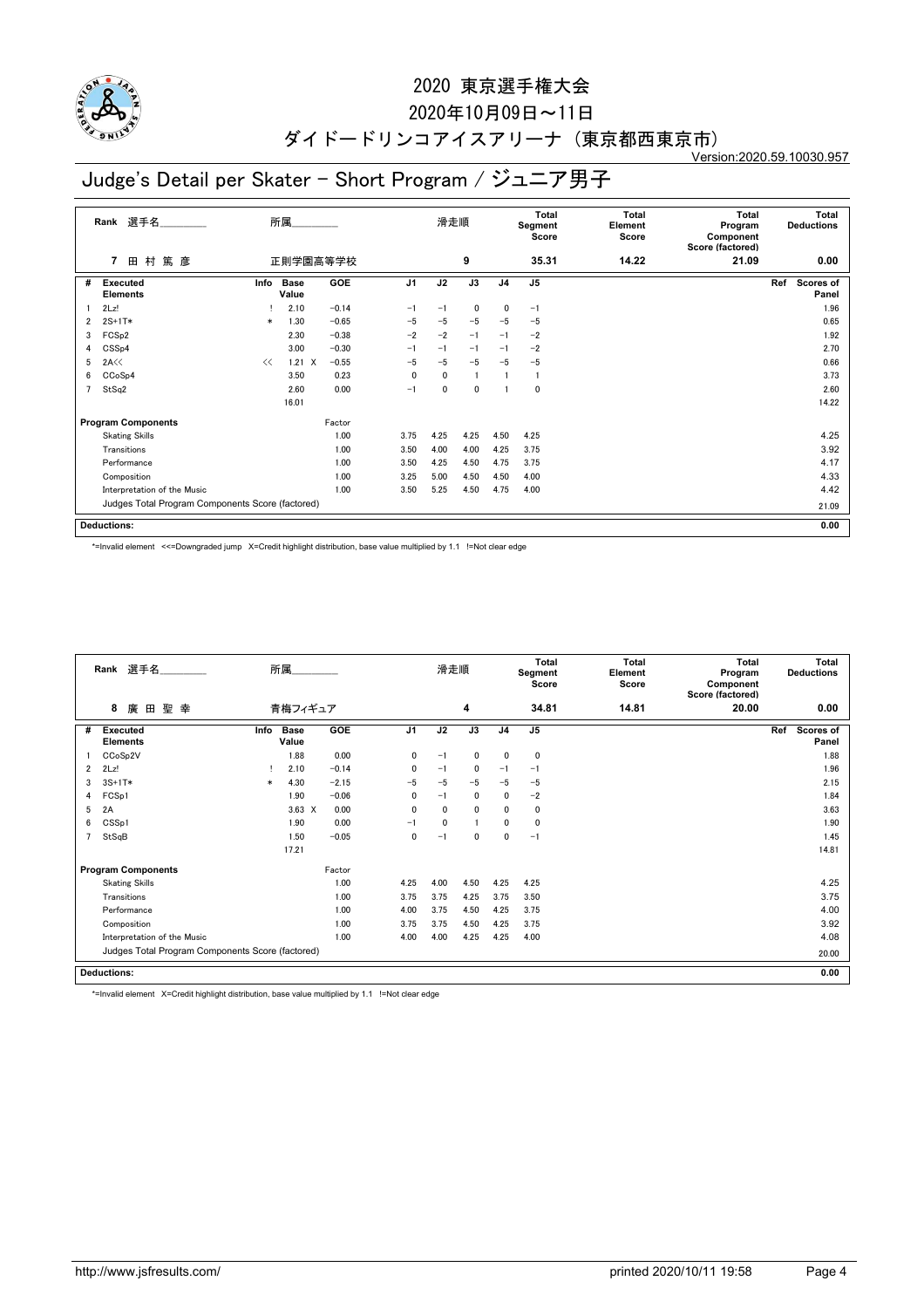

## 2020年10月09日~11日

#### ダイドードリンコアイスアリーナ (東京都西東京市) Version:2020.59.10030.957

# Judge's Detail per Skater - Short Program / ジュニア男子

|                | 選手名<br>Rank                                      |        | 所属                   |         |                | 滑走順  |                 |                | Total<br>Segment<br>Score | Total<br>Element<br>Score | Total<br>Program<br>Component<br>Score (factored) | <b>Total</b><br><b>Deductions</b> |       |
|----------------|--------------------------------------------------|--------|----------------------|---------|----------------|------|-----------------|----------------|---------------------------|---------------------------|---------------------------------------------------|-----------------------------------|-------|
|                | 篤 彦<br>田 村<br>7                                  |        | 正則学園高等学校             |         |                |      | 9               |                | 35.31                     | 14.22                     | 21.09                                             | 0.00                              |       |
| #              | Executed<br><b>Elements</b>                      | Info   | <b>Base</b><br>Value | GOE     | J <sub>1</sub> | J2   | $\overline{J3}$ | J <sub>4</sub> | J <sub>5</sub>            |                           |                                                   | Ref<br>Scores of<br>Panel         |       |
|                | 2Lz!                                             |        | 2.10                 | $-0.14$ | $-1$           | $-1$ | $\mathbf 0$     | 0              | $-1$                      |                           |                                                   |                                   | 1.96  |
| $\overline{2}$ | $2S+1T*$                                         | $\ast$ | 1.30                 | $-0.65$ | $-5$           | $-5$ | $-5$            | $-5$           | $-5$                      |                           |                                                   |                                   | 0.65  |
| 3              | FCS <sub>p2</sub>                                |        | 2.30                 | $-0.38$ | $-2$           | $-2$ | $-1$            | $-1$           | $-2$                      |                           |                                                   |                                   | 1.92  |
| 4              | CSS <sub>p4</sub>                                |        | 3.00                 | $-0.30$ | $-1$           | $-1$ | $-1$            | $-1$           | $-2$                      |                           |                                                   |                                   | 2.70  |
| 5              | 2A<<                                             | <<     | $1.21 \quad X$       | $-0.55$ | $-5$           | $-5$ | $-5$            | $-5$           | $-5$                      |                           |                                                   |                                   | 0.66  |
| 6              | CCoSp4                                           |        | 3.50                 | 0.23    | 0              | 0    | -1              |                |                           |                           |                                                   |                                   | 3.73  |
| $\overline{7}$ | StSq2                                            |        | 2.60                 | 0.00    | $-1$           | 0    | $\mathbf 0$     |                | 0                         |                           |                                                   |                                   | 2.60  |
|                |                                                  |        | 16.01                |         |                |      |                 |                |                           |                           |                                                   |                                   | 14.22 |
|                | <b>Program Components</b>                        |        |                      | Factor  |                |      |                 |                |                           |                           |                                                   |                                   |       |
|                | <b>Skating Skills</b>                            |        |                      | 1.00    | 3.75           | 4.25 | 4.25            | 4.50           | 4.25                      |                           |                                                   |                                   | 4.25  |
|                | Transitions                                      |        |                      | 1.00    | 3.50           | 4.00 | 4.00            | 4.25           | 3.75                      |                           |                                                   |                                   | 3.92  |
|                | Performance                                      |        |                      | 1.00    | 3.50           | 4.25 | 4.50            | 4.75           | 3.75                      |                           |                                                   |                                   | 4.17  |
|                | Composition                                      |        |                      | 1.00    | 3.25           | 5.00 | 4.50            | 4.50           | 4.00                      |                           |                                                   |                                   | 4.33  |
|                | Interpretation of the Music                      |        |                      | 1.00    | 3.50           | 5.25 | 4.50            | 4.75           | 4.00                      |                           |                                                   |                                   | 4.42  |
|                | Judges Total Program Components Score (factored) |        |                      |         |                |      |                 |                |                           |                           |                                                   |                                   | 21.09 |
|                | <b>Deductions:</b>                               |        |                      |         |                |      |                 |                |                           |                           |                                                   |                                   | 0.00  |

\*=Invalid element <<=Downgraded jump X=Credit highlight distribution, base value multiplied by 1.1 !=Not clear edge

|   | Rank 選手名                                         | 所属     |                      |         |                | 滑走順          |              |                | <b>Total</b><br>Segment<br>Score | Total<br>Element<br>Score | Total<br>Program<br>Component<br>Score (factored) | <b>Total</b><br><b>Deductions</b> |
|---|--------------------------------------------------|--------|----------------------|---------|----------------|--------------|--------------|----------------|----------------------------------|---------------------------|---------------------------------------------------|-----------------------------------|
|   | 聖 幸<br>8<br>廣<br>田                               |        | 青梅フィギュア              |         |                |              | 4            |                | 34.81                            | 14.81                     | 20.00                                             | 0.00                              |
| # | <b>Executed</b><br><b>Elements</b>               | Info   | <b>Base</b><br>Value | GOE     | J <sub>1</sub> | J2           | J3           | J <sub>4</sub> | J <sub>5</sub>                   |                           |                                                   | Ref<br><b>Scores of</b><br>Panel  |
|   | CCoSp2V                                          |        | 1.88                 | 0.00    | $\mathbf{0}$   | $-1$         | 0            | 0              | $\mathbf 0$                      |                           |                                                   | 1.88                              |
| 2 | 2Lz!                                             |        | 2.10                 | $-0.14$ | $\mathbf{0}$   | $-1$         | 0            | $-1$           | $-1$                             |                           |                                                   | 1.96                              |
| 3 | $3S+1T*$                                         | $\ast$ | 4.30                 | $-2.15$ | $-5$           | $-5$         | $-5$         | $-5$           | $-5$                             |                           |                                                   | 2.15                              |
| 4 | FCSp1                                            |        | 1.90                 | $-0.06$ | $\mathbf{0}$   | $-1$         | $\mathbf{0}$ | 0              | $-2$                             |                           |                                                   | 1.84                              |
| 5 | 2A                                               |        | $3.63 \times$        | 0.00    | $\mathbf{0}$   | $\mathbf{0}$ | 0            | 0              | $\mathbf 0$                      |                           |                                                   | 3.63                              |
| 6 | CSS <sub>p1</sub>                                |        | 1.90                 | 0.00    | $-1$           | 0            | 1            | 0              | $\mathbf 0$                      |                           |                                                   | 1.90                              |
|   | StSqB                                            |        | 1.50                 | $-0.05$ | 0              | $-1$         | $\mathbf 0$  | 0              | $-1$                             |                           |                                                   | 1.45                              |
|   |                                                  |        | 17.21                |         |                |              |              |                |                                  |                           |                                                   | 14.81                             |
|   | <b>Program Components</b>                        |        |                      | Factor  |                |              |              |                |                                  |                           |                                                   |                                   |
|   | <b>Skating Skills</b>                            |        |                      | 1.00    | 4.25           | 4.00         | 4.50         | 4.25           | 4.25                             |                           |                                                   | 4.25                              |
|   | Transitions                                      |        |                      | 1.00    | 3.75           | 3.75         | 4.25         | 3.75           | 3.50                             |                           |                                                   | 3.75                              |
|   | Performance                                      |        |                      | 1.00    | 4.00           | 3.75         | 4.50         | 4.25           | 3.75                             |                           |                                                   | 4.00                              |
|   | Composition                                      |        |                      | 1.00    | 3.75           | 3.75         | 4.50         | 4.25           | 3.75                             |                           |                                                   | 3.92                              |
|   | Interpretation of the Music                      |        |                      | 1.00    | 4.00           | 4.00         | 4.25         | 4.25           | 4.00                             |                           |                                                   | 4.08                              |
|   | Judges Total Program Components Score (factored) |        |                      |         |                |              |              |                |                                  |                           |                                                   | 20.00                             |
|   | <b>Deductions:</b>                               |        |                      |         |                |              |              |                |                                  |                           |                                                   | 0.00                              |

\*=Invalid element X=Credit highlight distribution, base value multiplied by 1.1 !=Not clear edge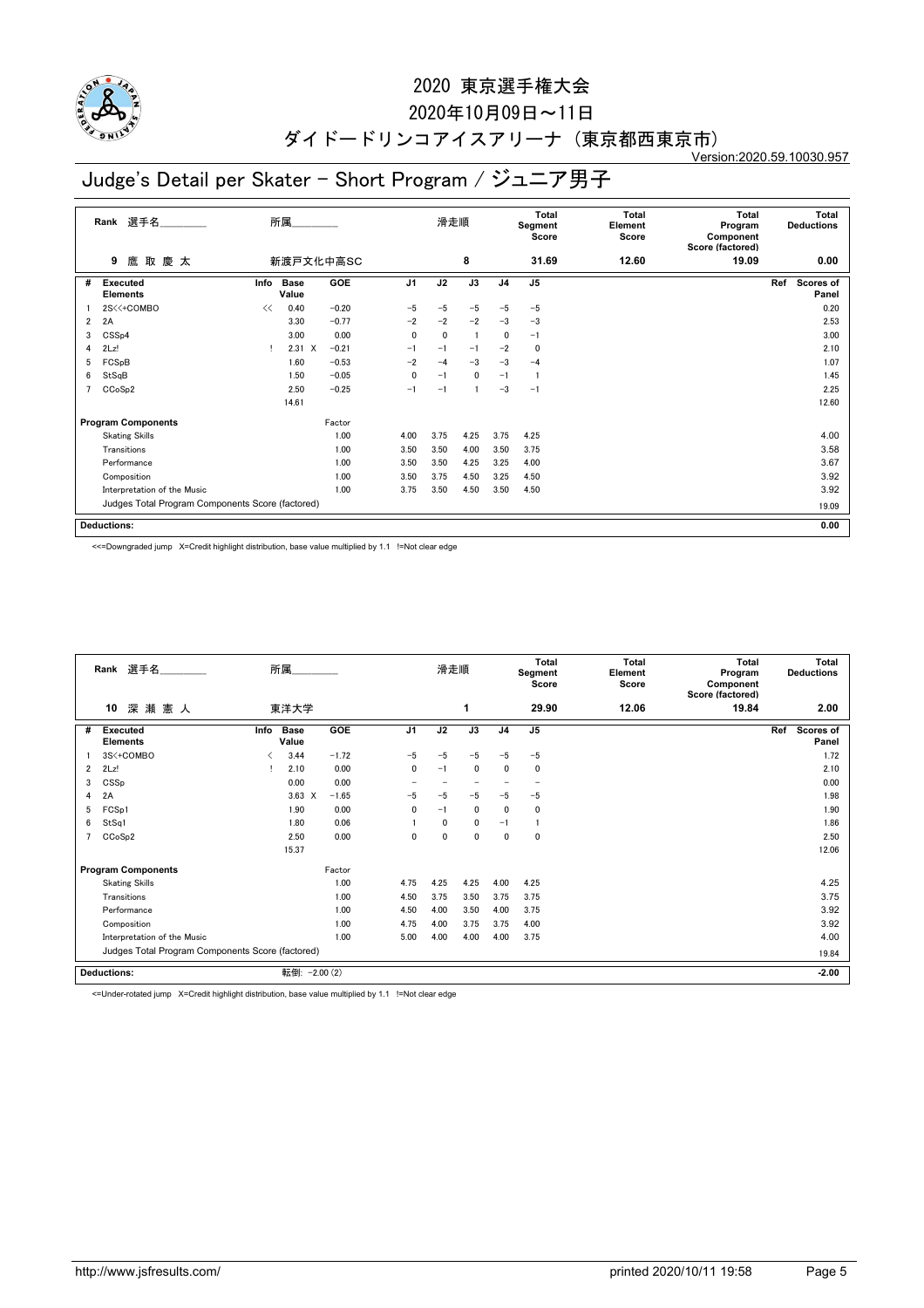

## 2020年10月09日~11日

#### ダイドードリンコアイスアリーナ (東京都西東京市) Version:2020.59.10030.957

# Judge's Detail per Skater - Short Program / ジュニア男子

|                | 選手名<br>Rank                                      | 所属<br>新渡戸文化中高SC |               |         |                | 滑走順  |      |                | Total<br>Segment<br>Score | Total<br>Element<br>Score | <b>Total</b><br>Program<br>Component<br>Score (factored) |     | <b>Total</b><br><b>Deductions</b> |
|----------------|--------------------------------------------------|-----------------|---------------|---------|----------------|------|------|----------------|---------------------------|---------------------------|----------------------------------------------------------|-----|-----------------------------------|
|                | 鷹取慶太<br>9                                        |                 |               |         |                |      | 8    |                | 31.69                     | 12.60                     | 19.09                                                    |     | 0.00                              |
| #              | Executed<br><b>Elements</b>                      | Info            | Base<br>Value | GOE     | J <sub>1</sub> | J2   | J3   | J <sub>4</sub> | J <sub>5</sub>            |                           |                                                          | Ref | <b>Scores of</b><br>Panel         |
|                | 2S<<+COMBO                                       | <<              | 0.40          | $-0.20$ | $-5$           | $-5$ | $-5$ | $-5$           | $-5$                      |                           |                                                          |     | 0.20                              |
| $\overline{2}$ | 2A                                               |                 | 3.30          | $-0.77$ | $-2$           | $-2$ | $-2$ | $-3$           | $-3$                      |                           |                                                          |     | 2.53                              |
| 3              | CSSp4                                            |                 | 3.00          | 0.00    | $\mathbf{0}$   | 0    |      | $\mathbf{0}$   | $-1$                      |                           |                                                          |     | 3.00                              |
| 4              | 2Lz!                                             |                 | $2.31 \t X$   | $-0.21$ | $-1$           | $-1$ | $-1$ | $-2$           | 0                         |                           |                                                          |     | 2.10                              |
| 5              | FCSpB                                            |                 | 1.60          | $-0.53$ | $-2$           | $-4$ | $-3$ | $-3$           | $-4$                      |                           |                                                          |     | 1.07                              |
| 6              | StSqB                                            |                 | 1.50          | $-0.05$ | 0              | $-1$ | 0    | $-1$           |                           |                           |                                                          |     | 1.45                              |
| 7              | CCoSp2                                           |                 | 2.50          | $-0.25$ | $-1$           | $-1$ |      | $-3$           | $-1$                      |                           |                                                          |     | 2.25                              |
|                |                                                  |                 | 14.61         |         |                |      |      |                |                           |                           |                                                          |     | 12.60                             |
|                | <b>Program Components</b>                        |                 |               | Factor  |                |      |      |                |                           |                           |                                                          |     |                                   |
|                | <b>Skating Skills</b>                            |                 |               | 1.00    | 4.00           | 3.75 | 4.25 | 3.75           | 4.25                      |                           |                                                          |     | 4.00                              |
|                | Transitions                                      |                 |               | 1.00    | 3.50           | 3.50 | 4.00 | 3.50           | 3.75                      |                           |                                                          |     | 3.58                              |
|                | Performance                                      |                 |               | 1.00    | 3.50           | 3.50 | 4.25 | 3.25           | 4.00                      |                           |                                                          |     | 3.67                              |
|                | Composition                                      |                 |               | 1.00    | 3.50           | 3.75 | 4.50 | 3.25           | 4.50                      |                           |                                                          |     | 3.92                              |
|                | Interpretation of the Music                      | 3.75            | 3.50          | 4.50    | 3.50           | 4.50 |      |                |                           | 3.92                      |                                                          |     |                                   |
|                | Judges Total Program Components Score (factored) |                 |               |         |                |      |      |                |                           | 19.09                     |                                                          |     |                                   |
|                | <b>Deductions:</b>                               |                 |               |         |                |      |      |                |                           |                           |                                                          |     | 0.00                              |

<<=Downgraded jump X=Credit highlight distribution, base value multiplied by 1.1 !=Not clear edge

|                                                  | 選手名<br>Rank                        |      | 所属                   |            | 滑走順            |      | <b>Total</b><br>Segment<br>Score |                | Total<br>Element<br>Score | <b>Total</b><br>Program<br>Component<br>Score (factored) | Total<br><b>Deductions</b> |                                  |
|--------------------------------------------------|------------------------------------|------|----------------------|------------|----------------|------|----------------------------------|----------------|---------------------------|----------------------------------------------------------|----------------------------|----------------------------------|
|                                                  | 深瀬憲人<br>10                         |      | 東洋大学                 |            |                |      | 1                                |                | 29.90                     | 12.06                                                    | 19.84                      | 2.00                             |
| #                                                | <b>Executed</b><br><b>Elements</b> | Info | <b>Base</b><br>Value | <b>GOE</b> | J <sub>1</sub> | J2   | J3                               | J <sub>4</sub> | J <sub>5</sub>            |                                                          |                            | Ref<br><b>Scores of</b><br>Panel |
|                                                  | 3S<+COMBO                          | ≺    | 3.44                 | $-1.72$    | $-5$           | $-5$ | $-5$                             | $-5$           | $-5$                      |                                                          |                            | 1.72                             |
| $\overline{2}$                                   | 2Lz!                               |      | 2.10                 | 0.00       | 0              | $-1$ | $\mathbf 0$                      | 0              | 0                         |                                                          |                            | 2.10                             |
| 3                                                | CSSp                               |      | 0.00                 | 0.00       |                |      |                                  |                |                           |                                                          |                            | 0.00                             |
| 4                                                | 2A                                 |      | $3.63 \times$        | $-1.65$    | $-5$           | $-5$ | $-5$                             | $-5$           | $-5$                      |                                                          |                            | 1.98                             |
| 5                                                | FCSp1                              |      | 1.90                 | 0.00       | $\mathbf{0}$   | $-1$ | $\mathbf 0$                      | $\mathbf{0}$   | 0                         |                                                          |                            | 1.90                             |
| 6                                                | StSq1                              |      | 1.80                 | 0.06       |                | 0    | $\mathbf 0$                      | $-1$           |                           |                                                          |                            | 1.86                             |
|                                                  | CCoSp2                             |      | 2.50                 | 0.00       | 0              | 0    | $\mathbf{0}$                     | 0              | 0                         |                                                          |                            | 2.50                             |
|                                                  |                                    |      | 15.37                |            |                |      |                                  |                |                           |                                                          |                            | 12.06                            |
|                                                  | <b>Program Components</b>          |      |                      | Factor     |                |      |                                  |                |                           |                                                          |                            |                                  |
|                                                  | <b>Skating Skills</b>              |      |                      | 1.00       | 4.75           | 4.25 | 4.25                             | 4.00           | 4.25                      |                                                          |                            | 4.25                             |
|                                                  | Transitions                        |      |                      | 1.00       | 4.50           | 3.75 | 3.50                             | 3.75           | 3.75                      |                                                          |                            | 3.75                             |
|                                                  | Performance                        |      |                      | 1.00       | 4.50           | 4.00 | 3.50                             | 4.00           | 3.75                      |                                                          |                            | 3.92                             |
|                                                  | Composition                        |      |                      | 1.00       | 4.75           | 4.00 | 3.75                             | 3.75           | 4.00                      |                                                          |                            | 3.92                             |
|                                                  | Interpretation of the Music        |      |                      | 1.00       | 5.00           | 4.00 | 4.00                             | 4.00           | 3.75                      |                                                          |                            | 4.00                             |
| Judges Total Program Components Score (factored) |                                    |      |                      |            |                |      |                                  |                |                           |                                                          |                            | 19.84                            |
|                                                  | <b>Deductions:</b>                 |      | 転倒: -2.00 (2)        |            |                |      |                                  |                |                           |                                                          |                            | $-2.00$                          |

<=Under-rotated jump X=Credit highlight distribution, base value multiplied by 1.1 !=Not clear edge